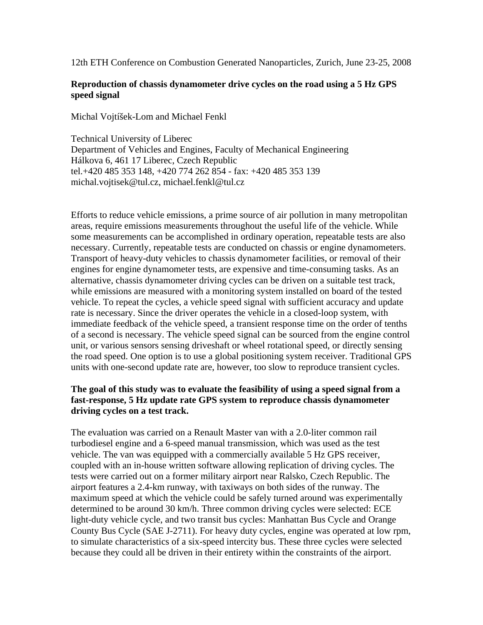12th ETH Conference on Combustion Generated Nanoparticles, Zurich, June 23-25, 2008

# **Reproduction of chassis dynamometer drive cycles on the road using a 5 Hz GPS speed signal**

Michal Vojtíšek-Lom and Michael Fenkl

Technical University of Liberec Department of Vehicles and Engines, Faculty of Mechanical Engineering Hálkova 6, 461 17 Liberec, Czech Republic tel.+420 485 353 148, +420 774 262 854 - fax: +420 485 353 139 michal.vojtisek@tul.cz, michael.fenkl@tul.cz

Efforts to reduce vehicle emissions, a prime source of air pollution in many metropolitan areas, require emissions measurements throughout the useful life of the vehicle. While some measurements can be accomplished in ordinary operation, repeatable tests are also necessary. Currently, repeatable tests are conducted on chassis or engine dynamometers. Transport of heavy-duty vehicles to chassis dynamometer facilities, or removal of their engines for engine dynamometer tests, are expensive and time-consuming tasks. As an alternative, chassis dynamometer driving cycles can be driven on a suitable test track, while emissions are measured with a monitoring system installed on board of the tested vehicle. To repeat the cycles, a vehicle speed signal with sufficient accuracy and update rate is necessary. Since the driver operates the vehicle in a closed-loop system, with immediate feedback of the vehicle speed, a transient response time on the order of tenths of a second is necessary. The vehicle speed signal can be sourced from the engine control unit, or various sensors sensing driveshaft or wheel rotational speed, or directly sensing the road speed. One option is to use a global positioning system receiver. Traditional GPS units with one-second update rate are, however, too slow to reproduce transient cycles.

# **The goal of this study was to evaluate the feasibility of using a speed signal from a fast-response, 5 Hz update rate GPS system to reproduce chassis dynamometer driving cycles on a test track.**

The evaluation was carried on a Renault Master van with a 2.0-liter common rail turbodiesel engine and a 6-speed manual transmission, which was used as the test vehicle. The van was equipped with a commercially available 5 Hz GPS receiver, coupled with an in-house written software allowing replication of driving cycles. The tests were carried out on a former military airport near Ralsko, Czech Republic. The airport features a 2.4-km runway, with taxiways on both sides of the runway. The maximum speed at which the vehicle could be safely turned around was experimentally determined to be around 30 km/h. Three common driving cycles were selected: ECE light-duty vehicle cycle, and two transit bus cycles: Manhattan Bus Cycle and Orange County Bus Cycle (SAE J-2711). For heavy duty cycles, engine was operated at low rpm, to simulate characteristics of a six-speed intercity bus. These three cycles were selected because they could all be driven in their entirety within the constraints of the airport.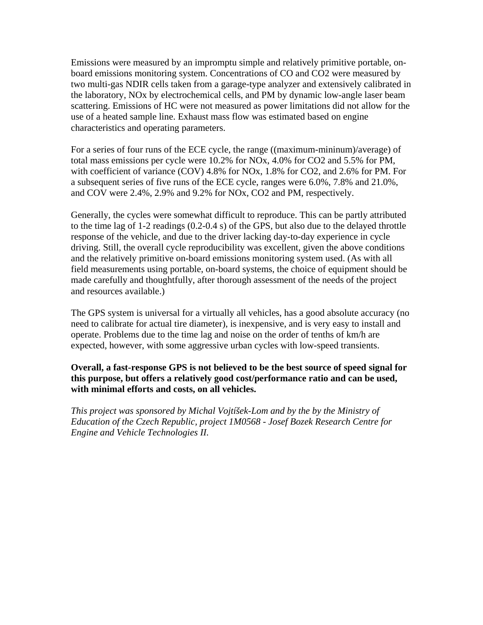Emissions were measured by an impromptu simple and relatively primitive portable, onboard emissions monitoring system. Concentrations of CO and CO2 were measured by two multi-gas NDIR cells taken from a garage-type analyzer and extensively calibrated in the laboratory, NOx by electrochemical cells, and PM by dynamic low-angle laser beam scattering. Emissions of HC were not measured as power limitations did not allow for the use of a heated sample line. Exhaust mass flow was estimated based on engine characteristics and operating parameters.

For a series of four runs of the ECE cycle, the range ((maximum-mininum)/average) of total mass emissions per cycle were 10.2% for NOx, 4.0% for CO2 and 5.5% for PM, with coefficient of variance (COV) 4.8% for NOx, 1.8% for CO2, and 2.6% for PM. For a subsequent series of five runs of the ECE cycle, ranges were 6.0%, 7.8% and 21.0%, and COV were 2.4%, 2.9% and 9.2% for NOx, CO2 and PM, respectively.

Generally, the cycles were somewhat difficult to reproduce. This can be partly attributed to the time lag of 1-2 readings (0.2-0.4 s) of the GPS, but also due to the delayed throttle response of the vehicle, and due to the driver lacking day-to-day experience in cycle driving. Still, the overall cycle reproducibility was excellent, given the above conditions and the relatively primitive on-board emissions monitoring system used. (As with all field measurements using portable, on-board systems, the choice of equipment should be made carefully and thoughtfully, after thorough assessment of the needs of the project and resources available.)

The GPS system is universal for a virtually all vehicles, has a good absolute accuracy (no need to calibrate for actual tire diameter), is inexpensive, and is very easy to install and operate. Problems due to the time lag and noise on the order of tenths of km/h are expected, however, with some aggressive urban cycles with low-speed transients.

**Overall, a fast-response GPS is not believed to be the best source of speed signal for this purpose, but offers a relatively good cost/performance ratio and can be used, with minimal efforts and costs, on all vehicles.** 

*This project was sponsored by Michal Vojtíšek-Lom and by the by the Ministry of Education of the Czech Republic, project 1M0568 - Josef Bozek Research Centre for Engine and Vehicle Technologies II.*